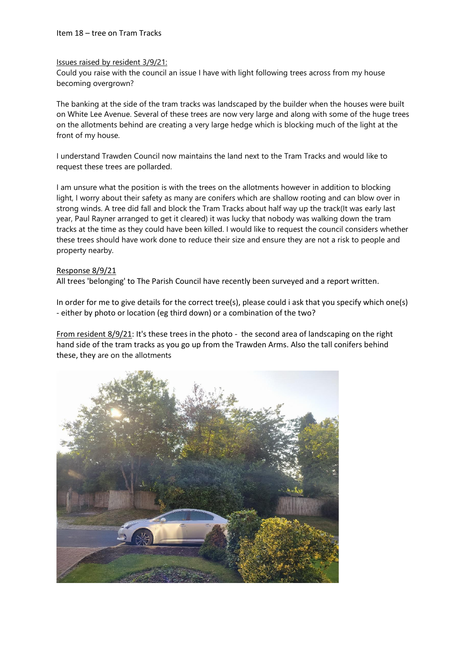### Issues raised by resident 3/9/21:

Could you raise with the council an issue I have with light following trees across from my house becoming overgrown?

The banking at the side of the tram tracks was landscaped by the builder when the houses were built on White Lee Avenue. Several of these trees are now very large and along with some of the huge trees on the allotments behind are creating a very large hedge which is blocking much of the light at the front of my house.

I understand Trawden Council now maintains the land next to the Tram Tracks and would like to request these trees are pollarded.

I am unsure what the position is with the trees on the allotments however in addition to blocking light, I worry about their safety as many are conifers which are shallow rooting and can blow over in strong winds. A tree did fall and block the Tram Tracks about half way up the track(It was early last year, Paul Rayner arranged to get it cleared) it was lucky that nobody was walking down the tram tracks at the time as they could have been killed. I would like to request the council considers whether these trees should have work done to reduce their size and ensure they are not a risk to people and property nearby.

## Response 8/9/21

All trees 'belonging' to The Parish Council have recently been surveyed and a report written.

In order for me to give details for the correct tree(s), please could i ask that you specify which one(s) - either by photo or location (eg third down) or a combination of the two?

From resident 8/9/21: It's these trees in the photo - the second area of landscaping on the right hand side of the tram tracks as you go up from the Trawden Arms. Also the tall conifers behind these, they are on the allotments

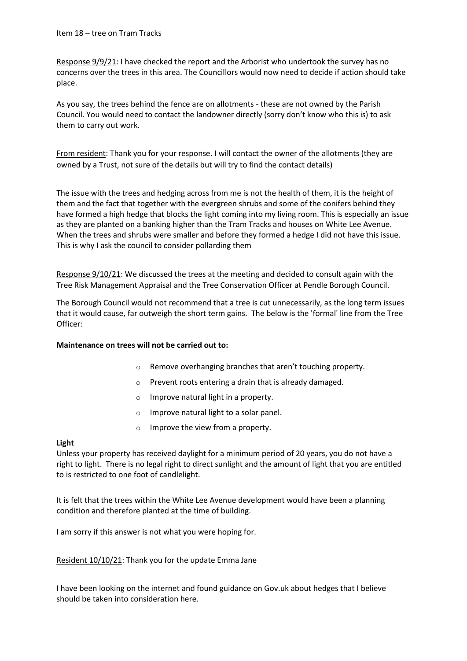Response 9/9/21: I have checked the report and the Arborist who undertook the survey has no concerns over the trees in this area. The Councillors would now need to decide if action should take place.

As you say, the trees behind the fence are on allotments - these are not owned by the Parish Council. You would need to contact the landowner directly (sorry don't know who this is) to ask them to carry out work.

From resident: Thank you for your response. I will contact the owner of the allotments (they are owned by a Trust, not sure of the details but will try to find the contact details)

The issue with the trees and hedging across from me is not the health of them, it is the height of them and the fact that together with the evergreen shrubs and some of the conifers behind they have formed a high hedge that blocks the light coming into my living room. This is especially an issue as they are planted on a banking higher than the Tram Tracks and houses on White Lee Avenue. When the trees and shrubs were smaller and before they formed a hedge I did not have this issue. This is why I ask the council to consider pollarding them

Response 9/10/21: We discussed the trees at the meeting and decided to consult again with the Tree Risk Management Appraisal and the Tree Conservation Officer at Pendle Borough Council.

The Borough Council would not recommend that a tree is cut unnecessarily, as the long term issues that it would cause, far outweigh the short term gains. The below is the 'formal' line from the Tree Officer:

## **Maintenance on trees will not be carried out to:**

- o Remove overhanging branches that aren't touching property.
- o Prevent roots entering a drain that is already damaged.
- o Improve natural light in a property.
- o Improve natural light to a solar panel.
- o Improve the view from a property.

## **Light**

Unless your property has received daylight for a minimum period of 20 years, you do not have a right to light. There is no legal right to direct sunlight and the amount of light that you are entitled to is restricted to one foot of candlelight.

It is felt that the trees within the White Lee Avenue development would have been a planning condition and therefore planted at the time of building.

I am sorry if this answer is not what you were hoping for.

Resident 10/10/21: Thank you for the update Emma Jane

I have been looking on the internet and found guidance on Gov.uk about hedges that I believe should be taken into consideration here.